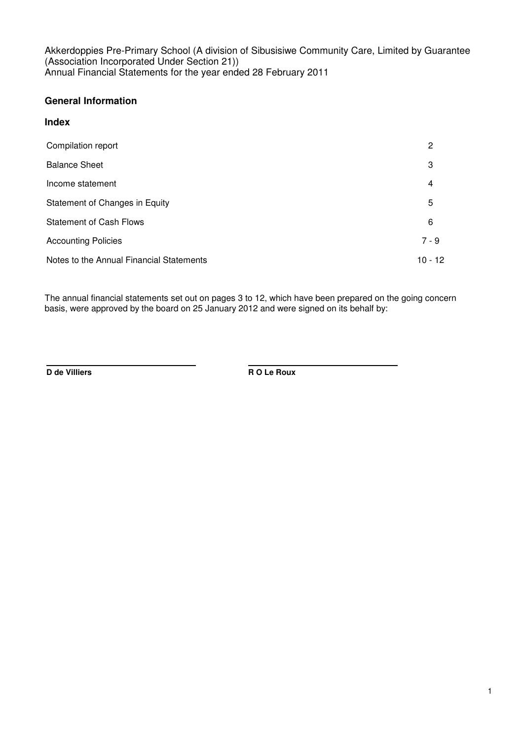## **General Information**

## **Index**

| Compilation report                       | 2         |
|------------------------------------------|-----------|
| <b>Balance Sheet</b>                     | 3         |
| Income statement                         | 4         |
| Statement of Changes in Equity           | 5         |
| <b>Statement of Cash Flows</b>           | 6         |
| <b>Accounting Policies</b>               | $7 - 9$   |
| Notes to the Annual Financial Statements | $10 - 12$ |

The annual financial statements set out on pages 3 to 12, which have been prepared on the going concern basis, were approved by the board on 25 January 2012 and were signed on its behalf by:

**D de Villiers R O Le Roux**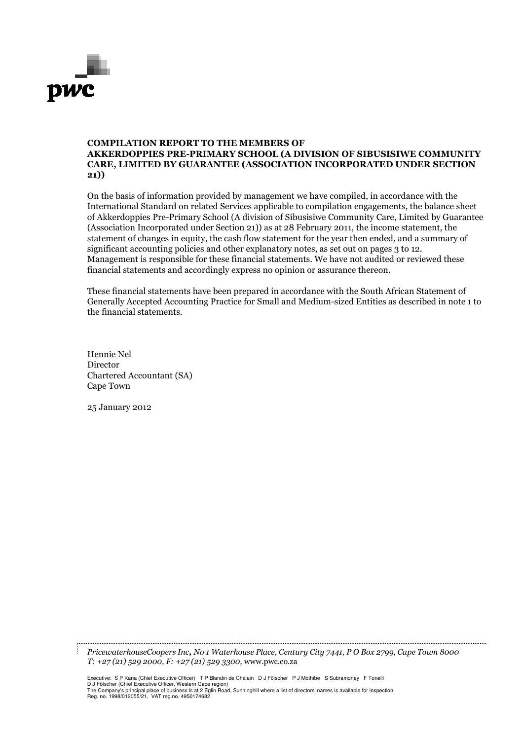

#### COMPILATION REPORT REPORT TO THE MEMBERS OF AKKERDOPPIES PRE--PRIMARY SCHOOL (A DIVISION OF SIBUSISIWE COMMUNITY CARE, LIMITED BY GUARANTEE (ASSOCIATION INCORPORATED UNDER SECTION 21))

On the basis of information provided by management we have compiled, in accordance with the International Standard on related Services applicable to compilation engagements, the balance sheet of Akkerdoppies Pre-Primary School (A division of Sibusisiwe Community Care, Limited by Guarantee (Association Incorporated under Section 21) as at 28 February 2011, the income statement, the statement of changes in equity, the cash flow statement for the year then ended, and a a summary of significant accounting policies and other explanatory notes, as set out on pages 3 to 12. Management is responsible for these financial statements. We have not audited or reviewed these financial statements and accordingly express no opinion or assurance thereon.

These financial statements have been prepared in accordance with the South African Statement of These financial statements have been prepared in accordance with the South African Statement of<br>Generally Accepted Accounting Practice for Small and Medium-sized Entities as described in note 1 to the financial statements.

Hennie Nel Director Chartered Accountant (SA) Cape Town

25 January 2012

PricewaterhouseCoopers Inc, No 1 Waterhouse Place, Century City 7441, P O Box 2799 2799, Cape Town 8000 T: +27 (21) 529 2000, F: +27 ( (21) 529 3300, www.pwc.co.za

Executive: S P Kana (Chief Executive Officer) T P Blandin de Chalain D J Fölscher P J Mothibe S Subramoney F Tone Tonelli D J Fölscher (Chief Executive Officer, Western Cape region) The Company's principal place of business is at 2 Eglin Road, Sunninghill where a list of directors' names is available for inspection. Reg. no. 1998/012055/21, VAT reg.no. 4950174682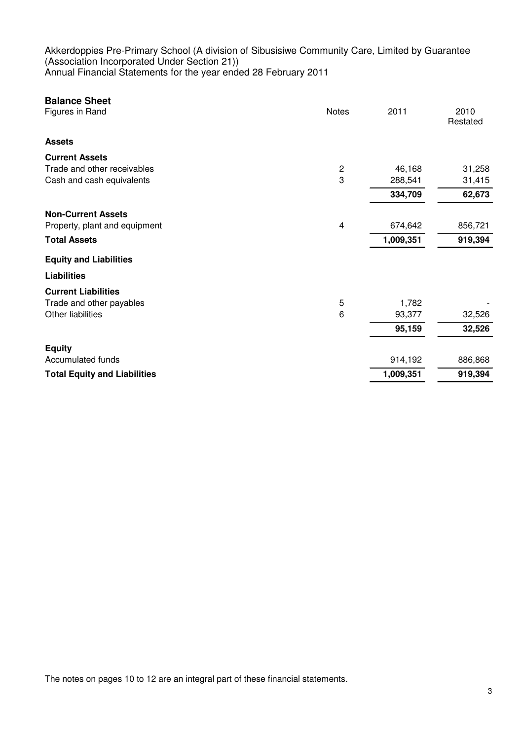| <b>Balance Sheet</b>                |                |           |                  |
|-------------------------------------|----------------|-----------|------------------|
| Figures in Rand                     | <b>Notes</b>   | 2011      | 2010<br>Restated |
| <b>Assets</b>                       |                |           |                  |
| <b>Current Assets</b>               |                |           |                  |
| Trade and other receivables         | $\overline{c}$ | 46,168    | 31,258           |
| Cash and cash equivalents           | 3              | 288,541   | 31,415           |
|                                     |                | 334,709   | 62,673           |
| <b>Non-Current Assets</b>           |                |           |                  |
| Property, plant and equipment       | 4              | 674,642   | 856,721          |
| <b>Total Assets</b>                 |                | 1,009,351 | 919,394          |
| <b>Equity and Liabilities</b>       |                |           |                  |
| <b>Liabilities</b>                  |                |           |                  |
| <b>Current Liabilities</b>          |                |           |                  |
| Trade and other payables            | 5              | 1,782     |                  |
| Other liabilities                   | 6              | 93,377    | 32,526           |
|                                     |                | 95,159    | 32,526           |
| <b>Equity</b>                       |                |           |                  |
| Accumulated funds                   |                | 914,192   | 886,868          |
| <b>Total Equity and Liabilities</b> |                | 1,009,351 | 919,394          |

The notes on pages 10 to 12 are an integral part of these financial statements.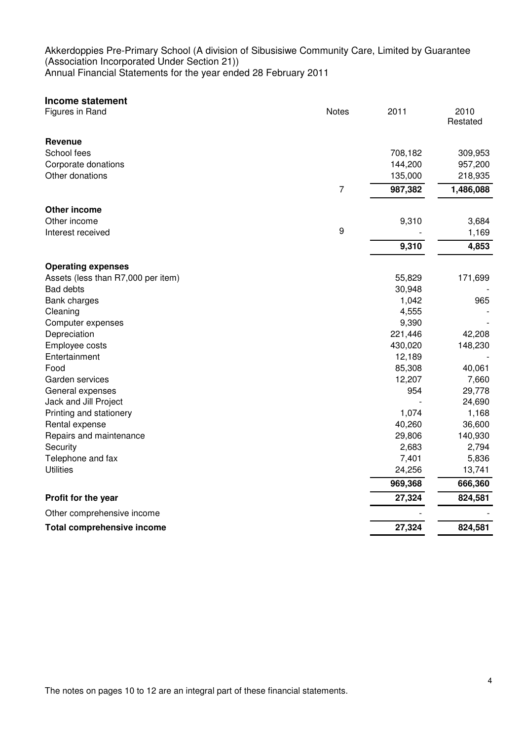| <b>Income statement</b>            |                |         |                  |
|------------------------------------|----------------|---------|------------------|
| Figures in Rand                    | <b>Notes</b>   | 2011    | 2010<br>Restated |
| <b>Revenue</b>                     |                |         |                  |
| School fees                        |                | 708,182 | 309,953          |
| Corporate donations                |                | 144,200 | 957,200          |
| Other donations                    |                | 135,000 | 218,935          |
|                                    | $\overline{7}$ | 987,382 | 1,486,088        |
| Other income                       |                |         |                  |
| Other income                       |                | 9,310   | 3,684            |
| Interest received                  | 9              |         | 1,169            |
|                                    |                | 9,310   | 4,853            |
| <b>Operating expenses</b>          |                |         |                  |
| Assets (less than R7,000 per item) |                | 55,829  | 171,699          |
| <b>Bad debts</b>                   |                | 30,948  |                  |
| Bank charges                       |                | 1,042   | 965              |
| Cleaning                           |                | 4,555   |                  |
| Computer expenses                  |                | 9,390   |                  |
| Depreciation                       |                | 221,446 | 42,208           |
| Employee costs                     |                | 430,020 | 148,230          |
| Entertainment                      |                | 12,189  |                  |
| Food                               |                | 85,308  | 40,061           |
| Garden services                    |                | 12,207  | 7,660            |
| General expenses                   |                | 954     | 29,778           |
| Jack and Jill Project              |                |         | 24,690           |
| Printing and stationery            |                | 1,074   | 1,168            |
| Rental expense                     |                | 40,260  | 36,600           |
| Repairs and maintenance            |                | 29,806  | 140,930          |
| Security                           |                | 2,683   | 2,794            |
| Telephone and fax                  |                | 7,401   | 5,836            |
| <b>Utilities</b>                   |                | 24,256  | 13,741           |
|                                    |                | 969,368 | 666,360          |
| Profit for the year                |                | 27,324  | 824,581          |
| Other comprehensive income         |                |         |                  |
| <b>Total comprehensive income</b>  |                | 27,324  | 824,581          |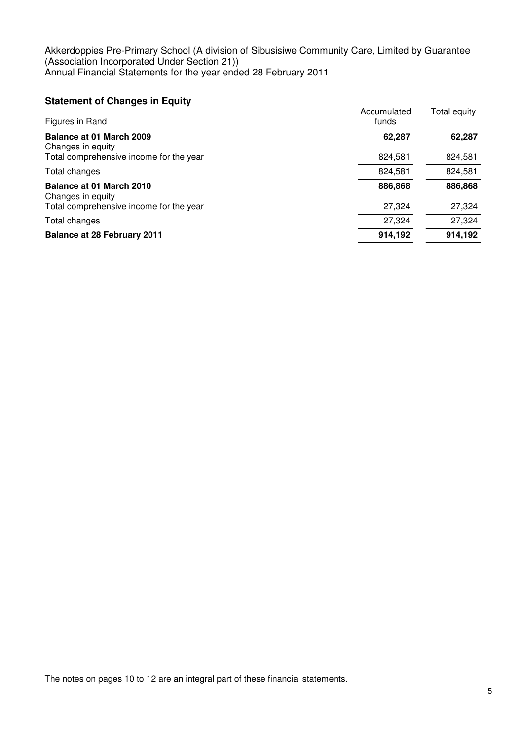## **Statement of Changes in Equity**

| Figures in Rand                                                                          | Accumulated<br>funds | Total equity      |
|------------------------------------------------------------------------------------------|----------------------|-------------------|
| Balance at 01 March 2009<br>Changes in equity<br>Total comprehensive income for the year | 62,287<br>824,581    | 62,287<br>824,581 |
| Total changes                                                                            | 824,581              | 824,581           |
| Balance at 01 March 2010<br>Changes in equity                                            | 886,868              | 886,868           |
| Total comprehensive income for the year                                                  | 27,324               | 27,324            |
| Total changes                                                                            | 27,324               | 27,324            |
| <b>Balance at 28 February 2011</b>                                                       | 914,192              | 914,192           |

The notes on pages 10 to 12 are an integral part of these financial statements.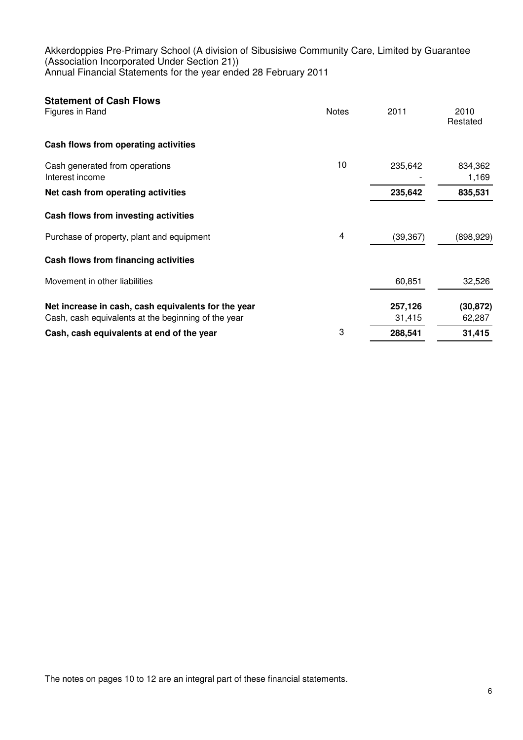| <b>Statement of Cash Flows</b><br>Figures in Rand                                                          | <b>Notes</b> | 2011              | 2010<br>Restated    |
|------------------------------------------------------------------------------------------------------------|--------------|-------------------|---------------------|
| Cash flows from operating activities                                                                       |              |                   |                     |
| Cash generated from operations<br>Interest income                                                          | 10           | 235,642           | 834,362<br>1,169    |
| Net cash from operating activities                                                                         |              | 235,642           | 835,531             |
| Cash flows from investing activities                                                                       |              |                   |                     |
| Purchase of property, plant and equipment                                                                  | 4            | (39, 367)         | (898, 929)          |
| Cash flows from financing activities                                                                       |              |                   |                     |
| Movement in other liabilities                                                                              |              | 60,851            | 32,526              |
| Net increase in cash, cash equivalents for the year<br>Cash, cash equivalents at the beginning of the year |              | 257,126<br>31,415 | (30, 872)<br>62,287 |
| Cash, cash equivalents at end of the year                                                                  | 3            | 288,541           | 31,415              |

The notes on pages 10 to 12 are an integral part of these financial statements.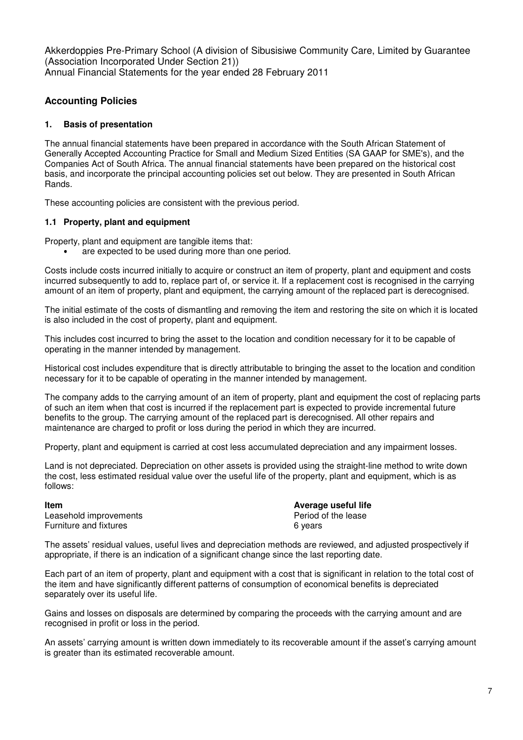## **Accounting Policies**

#### **1. Basis of presentation**

The annual financial statements have been prepared in accordance with the South African Statement of Generally Accepted Accounting Practice for Small and Medium Sized Entities (SA GAAP for SME's), and the Companies Act of South Africa. The annual financial statements have been prepared on the historical cost basis, and incorporate the principal accounting policies set out below. They are presented in South African Rands.

These accounting policies are consistent with the previous period.

#### **1.1 Property, plant and equipment**

Property, plant and equipment are tangible items that:

are expected to be used during more than one period.

Costs include costs incurred initially to acquire or construct an item of property, plant and equipment and costs incurred subsequently to add to, replace part of, or service it. If a replacement cost is recognised in the carrying amount of an item of property, plant and equipment, the carrying amount of the replaced part is derecognised.

The initial estimate of the costs of dismantling and removing the item and restoring the site on which it is located is also included in the cost of property, plant and equipment.

This includes cost incurred to bring the asset to the location and condition necessary for it to be capable of operating in the manner intended by management.

Historical cost includes expenditure that is directly attributable to bringing the asset to the location and condition necessary for it to be capable of operating in the manner intended by management.

The company adds to the carrying amount of an item of property, plant and equipment the cost of replacing parts of such an item when that cost is incurred if the replacement part is expected to provide incremental future benefits to the group. The carrying amount of the replaced part is derecognised. All other repairs and maintenance are charged to profit or loss during the period in which they are incurred.

Property, plant and equipment is carried at cost less accumulated depreciation and any impairment losses.

Land is not depreciated. Depreciation on other assets is provided using the straight-line method to write down the cost, less estimated residual value over the useful life of the property, plant and equipment, which is as follows:

Leasehold improvements **Period of the lease** Furniture and fixtures **6** years

**Item Average useful life**

The assets' residual values, useful lives and depreciation methods are reviewed, and adjusted prospectively if appropriate, if there is an indication of a significant change since the last reporting date.

Each part of an item of property, plant and equipment with a cost that is significant in relation to the total cost of the item and have significantly different patterns of consumption of economical benefits is depreciated separately over its useful life.

Gains and losses on disposals are determined by comparing the proceeds with the carrying amount and are recognised in profit or loss in the period.

An assets' carrying amount is written down immediately to its recoverable amount if the asset's carrying amount is greater than its estimated recoverable amount.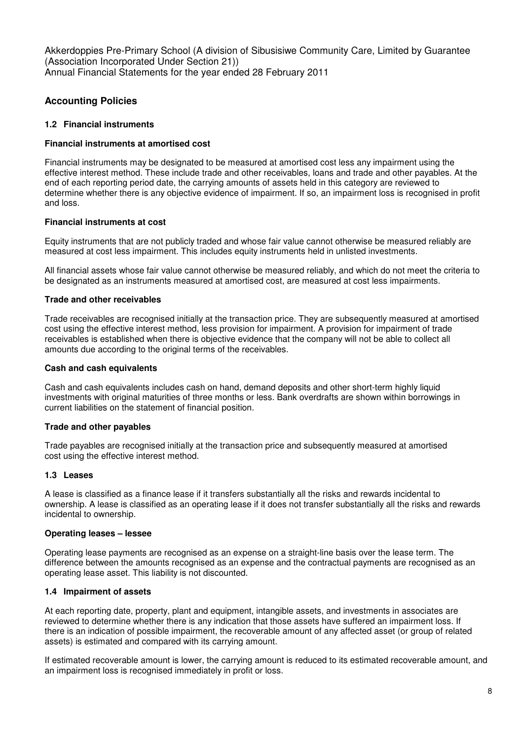## **Accounting Policies**

#### **1.2 Financial instruments**

#### **Financial instruments at amortised cost**

Financial instruments may be designated to be measured at amortised cost less any impairment using the effective interest method. These include trade and other receivables, loans and trade and other payables. At the end of each reporting period date, the carrying amounts of assets held in this category are reviewed to determine whether there is any objective evidence of impairment. If so, an impairment loss is recognised in profit and loss.

#### **Financial instruments at cost**

Equity instruments that are not publicly traded and whose fair value cannot otherwise be measured reliably are measured at cost less impairment. This includes equity instruments held in unlisted investments.

All financial assets whose fair value cannot otherwise be measured reliably, and which do not meet the criteria to be designated as an instruments measured at amortised cost, are measured at cost less impairments.

#### **Trade and other receivables**

Trade receivables are recognised initially at the transaction price. They are subsequently measured at amortised cost using the effective interest method, less provision for impairment. A provision for impairment of trade receivables is established when there is objective evidence that the company will not be able to collect all amounts due according to the original terms of the receivables.

#### **Cash and cash equivalents**

Cash and cash equivalents includes cash on hand, demand deposits and other short-term highly liquid investments with original maturities of three months or less. Bank overdrafts are shown within borrowings in current liabilities on the statement of financial position.

#### **Trade and other payables**

Trade payables are recognised initially at the transaction price and subsequently measured at amortised cost using the effective interest method.

#### **1.3 Leases**

A lease is classified as a finance lease if it transfers substantially all the risks and rewards incidental to ownership. A lease is classified as an operating lease if it does not transfer substantially all the risks and rewards incidental to ownership.

#### **Operating leases – lessee**

Operating lease payments are recognised as an expense on a straight-line basis over the lease term. The difference between the amounts recognised as an expense and the contractual payments are recognised as an operating lease asset. This liability is not discounted.

#### **1.4 Impairment of assets**

At each reporting date, property, plant and equipment, intangible assets, and investments in associates are reviewed to determine whether there is any indication that those assets have suffered an impairment loss. If there is an indication of possible impairment, the recoverable amount of any affected asset (or group of related assets) is estimated and compared with its carrying amount.

If estimated recoverable amount is lower, the carrying amount is reduced to its estimated recoverable amount, and an impairment loss is recognised immediately in profit or loss.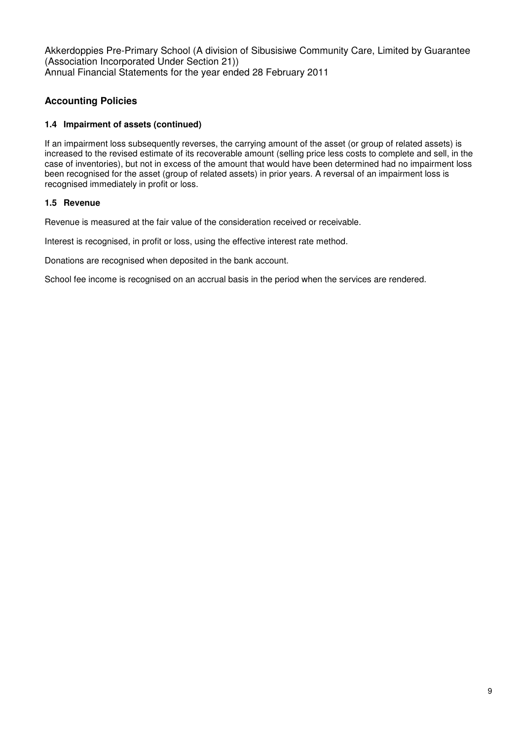# **Accounting Policies**

## **1.4 Impairment of assets (continued)**

If an impairment loss subsequently reverses, the carrying amount of the asset (or group of related assets) is increased to the revised estimate of its recoverable amount (selling price less costs to complete and sell, in the case of inventories), but not in excess of the amount that would have been determined had no impairment loss been recognised for the asset (group of related assets) in prior years. A reversal of an impairment loss is recognised immediately in profit or loss.

## **1.5 Revenue**

Revenue is measured at the fair value of the consideration received or receivable.

Interest is recognised, in profit or loss, using the effective interest rate method.

Donations are recognised when deposited in the bank account.

School fee income is recognised on an accrual basis in the period when the services are rendered.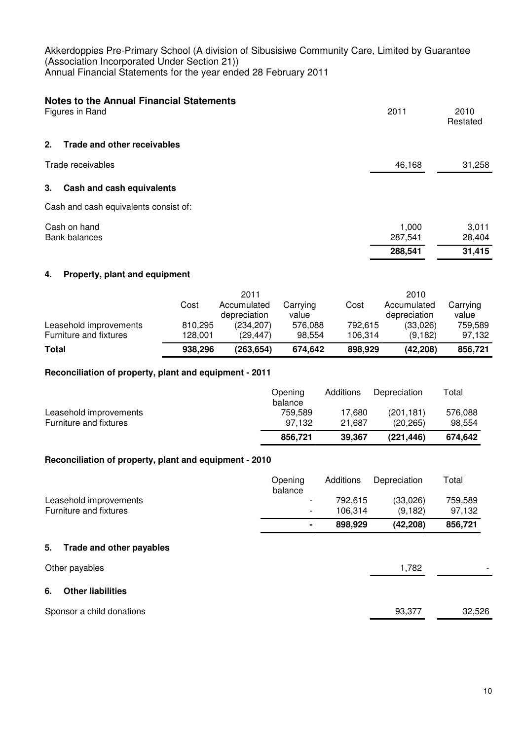| <b>Notes to the Annual Financial Statements</b><br>Figures in Rand | 2011             | 2010<br>Restated |
|--------------------------------------------------------------------|------------------|------------------|
| 2.<br>Trade and other receivables                                  |                  |                  |
| Trade receivables                                                  | 46,168           | 31,258           |
| 3.<br>Cash and cash equivalents                                    |                  |                  |
| Cash and cash equivalents consist of:                              |                  |                  |
| Cash on hand<br><b>Bank balances</b>                               | 1,000<br>287,541 | 3,011<br>28,404  |
|                                                                    | 288,541          | 31,415           |

## **4. Property, plant and equipment**

|                        |         | 2011                        |                   |         | 2010                        |                   |
|------------------------|---------|-----------------------------|-------------------|---------|-----------------------------|-------------------|
|                        | Cost    | Accumulated<br>depreciation | Carrying<br>value | Cost    | Accumulated<br>depreciation | Carrying<br>value |
| Leasehold improvements | 810,295 | (234, 207)                  | 576,088           | 792.615 | (33,026)                    | 759.589           |
| Furniture and fixtures | 128.001 | (29.447)                    | 98.554            | 106.314 | (9, 182)                    | 97.132            |
| Total                  | 938,296 | (263, 654)                  | 674.642           | 898,929 | (42, 208)                   | 856,721           |

### **Reconciliation of property, plant and equipment - 2011**

|                        | Opening<br>balance | Additions | Depreciation | Total   |
|------------------------|--------------------|-----------|--------------|---------|
| Leasehold improvements | 759.589            | 17.680    | (201.181)    | 576.088 |
| Furniture and fixtures | 97.132             | 21.687    | (20.265)     | 98.554  |
|                        | 856.721            | 39.367    | (221.446)    | 674.642 |

#### **Reconciliation of property, plant and equipment - 2010**

|                                | Opening<br>balance | Additions | Depreciation | Total   |
|--------------------------------|--------------------|-----------|--------------|---------|
| Leasehold improvements         | $\qquad \qquad$    | 792,615   | (33,026)     | 759,589 |
| Furniture and fixtures         | $\qquad \qquad$    | 106,314   | (9, 182)     | 97,132  |
|                                |                    | 898,929   | (42, 208)    | 856,721 |
| Trade and other payables<br>5. |                    |           |              |         |
| Other payables                 |                    |           | 1,782        |         |
| <b>Other liabilities</b><br>6. |                    |           |              |         |
| Sponsor a child donations      |                    |           | 93,377       | 32,526  |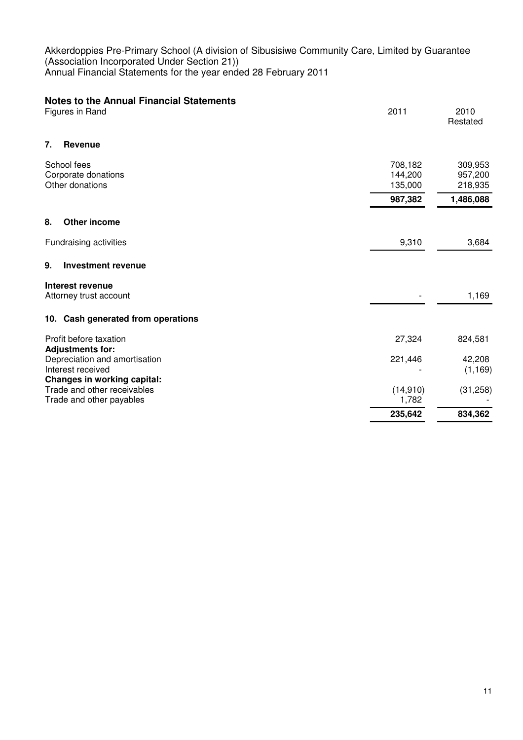| <b>Notes to the Annual Financial Statements</b><br>Figures in Rand                       | 2011                          | 2010<br>Restated              |
|------------------------------------------------------------------------------------------|-------------------------------|-------------------------------|
| 7.<br>Revenue                                                                            |                               |                               |
| School fees<br>Corporate donations<br>Other donations                                    | 708,182<br>144,200<br>135,000 | 309,953<br>957,200<br>218,935 |
|                                                                                          | 987,382                       | 1,486,088                     |
| <b>Other income</b><br>8.                                                                |                               |                               |
| Fundraising activities                                                                   | 9,310                         | 3,684                         |
| 9.<br>Investment revenue                                                                 |                               |                               |
| Interest revenue<br>Attorney trust account                                               |                               | 1,169                         |
| 10. Cash generated from operations                                                       |                               |                               |
| Profit before taxation<br><b>Adjustments for:</b>                                        | 27,324                        | 824,581                       |
| Depreciation and amortisation<br>Interest received<br><b>Changes in working capital:</b> | 221,446                       | 42,208<br>(1, 169)            |
| Trade and other receivables<br>Trade and other payables                                  | (14,910)<br>1,782             | (31, 258)                     |
|                                                                                          | 235,642                       | 834,362                       |